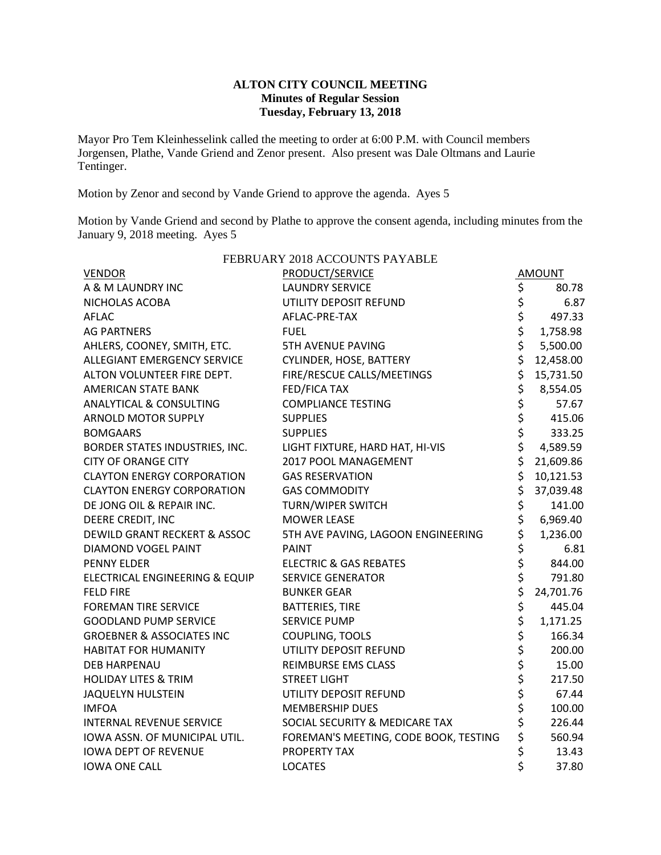### **ALTON CITY COUNCIL MEETING Minutes of Regular Session Tuesday, February 13, 2018**

Mayor Pro Tem Kleinhesselink called the meeting to order at 6:00 P.M. with Council members Jorgensen, Plathe, Vande Griend and Zenor present. Also present was Dale Oltmans and Laurie Tentinger.

Motion by Zenor and second by Vande Griend to approve the agenda. Ayes 5

Motion by Vande Griend and second by Plathe to approve the consent agenda, including minutes from the January 9, 2018 meeting. Ayes 5

| FEBRUARY 2018 ACCOUNTS PAYABLE       |                                       |                |           |  |  |  |  |
|--------------------------------------|---------------------------------------|----------------|-----------|--|--|--|--|
| <b>VENDOR</b>                        | PRODUCT/SERVICE                       |                | AMOUNT    |  |  |  |  |
| A & M LAUNDRY INC                    | <b>LAUNDRY SERVICE</b>                | \$             | 80.78     |  |  |  |  |
| NICHOLAS ACOBA                       | UTILITY DEPOSIT REFUND                | \$             | 6.87      |  |  |  |  |
| <b>AFLAC</b>                         | AFLAC-PRE-TAX                         | \$<br>\$       | 497.33    |  |  |  |  |
| <b>AG PARTNERS</b>                   | <b>FUEL</b>                           |                | 1,758.98  |  |  |  |  |
| AHLERS, COONEY, SMITH, ETC.          | <b>5TH AVENUE PAVING</b>              | \$             | 5,500.00  |  |  |  |  |
| <b>ALLEGIANT EMERGENCY SERVICE</b>   | CYLINDER, HOSE, BATTERY               | \$             | 12,458.00 |  |  |  |  |
| ALTON VOLUNTEER FIRE DEPT.           | FIRE/RESCUE CALLS/MEETINGS            | \$             | 15,731.50 |  |  |  |  |
| <b>AMERICAN STATE BANK</b>           | FED/FICA TAX                          | \$             | 8,554.05  |  |  |  |  |
| <b>ANALYTICAL &amp; CONSULTING</b>   | <b>COMPLIANCE TESTING</b>             | \$             | 57.67     |  |  |  |  |
| <b>ARNOLD MOTOR SUPPLY</b>           | <b>SUPPLIES</b>                       | \$             | 415.06    |  |  |  |  |
| <b>BOMGAARS</b>                      | <b>SUPPLIES</b>                       | \$             | 333.25    |  |  |  |  |
| BORDER STATES INDUSTRIES, INC.       | LIGHT FIXTURE, HARD HAT, HI-VIS       | \$             | 4,589.59  |  |  |  |  |
| <b>CITY OF ORANGE CITY</b>           | 2017 POOL MANAGEMENT                  | \$             | 21,609.86 |  |  |  |  |
| <b>CLAYTON ENERGY CORPORATION</b>    | <b>GAS RESERVATION</b>                | \$             | 10,121.53 |  |  |  |  |
| <b>CLAYTON ENERGY CORPORATION</b>    | <b>GAS COMMODITY</b>                  | \$             | 37,039.48 |  |  |  |  |
| DE JONG OIL & REPAIR INC.            | <b>TURN/WIPER SWITCH</b>              | \$             | 141.00    |  |  |  |  |
| DEERE CREDIT, INC                    | <b>MOWER LEASE</b>                    | \$             | 6,969.40  |  |  |  |  |
| DEWILD GRANT RECKERT & ASSOC         | 5TH AVE PAVING, LAGOON ENGINEERING    | \$             | 1,236.00  |  |  |  |  |
| DIAMOND VOGEL PAINT                  | <b>PAINT</b>                          | \$<br>\$       | 6.81      |  |  |  |  |
| <b>PENNY ELDER</b>                   | <b>ELECTRIC &amp; GAS REBATES</b>     |                | 844.00    |  |  |  |  |
| ELECTRICAL ENGINEERING & EQUIP       | <b>SERVICE GENERATOR</b>              | \$             | 791.80    |  |  |  |  |
| <b>FELD FIRE</b>                     | <b>BUNKER GEAR</b>                    | \$             | 24,701.76 |  |  |  |  |
| <b>FOREMAN TIRE SERVICE</b>          | <b>BATTERIES, TIRE</b>                | \$             | 445.04    |  |  |  |  |
| <b>GOODLAND PUMP SERVICE</b>         | <b>SERVICE PUMP</b>                   | \$             | 1,171.25  |  |  |  |  |
| <b>GROEBNER &amp; ASSOCIATES INC</b> | COUPLING, TOOLS                       | \$             | 166.34    |  |  |  |  |
| <b>HABITAT FOR HUMANITY</b>          | UTILITY DEPOSIT REFUND                | \$             | 200.00    |  |  |  |  |
| <b>DEB HARPENAU</b>                  | <b>REIMBURSE EMS CLASS</b>            | \$ \$ \$ \$ \$ | 15.00     |  |  |  |  |
| <b>HOLIDAY LITES &amp; TRIM</b>      | <b>STREET LIGHT</b>                   |                | 217.50    |  |  |  |  |
| <b>JAQUELYN HULSTEIN</b>             | UTILITY DEPOSIT REFUND                |                | 67.44     |  |  |  |  |
| <b>IMFOA</b>                         | <b>MEMBERSHIP DUES</b>                |                | 100.00    |  |  |  |  |
| <b>INTERNAL REVENUE SERVICE</b>      | SOCIAL SECURITY & MEDICARE TAX        |                | 226.44    |  |  |  |  |
| IOWA ASSN. OF MUNICIPAL UTIL.        | FOREMAN'S MEETING, CODE BOOK, TESTING | \$             | 560.94    |  |  |  |  |
| <b>IOWA DEPT OF REVENUE</b>          | <b>PROPERTY TAX</b>                   | \$             | 13.43     |  |  |  |  |
| <b>IOWA ONE CALL</b>                 | <b>LOCATES</b>                        | \$             | 37.80     |  |  |  |  |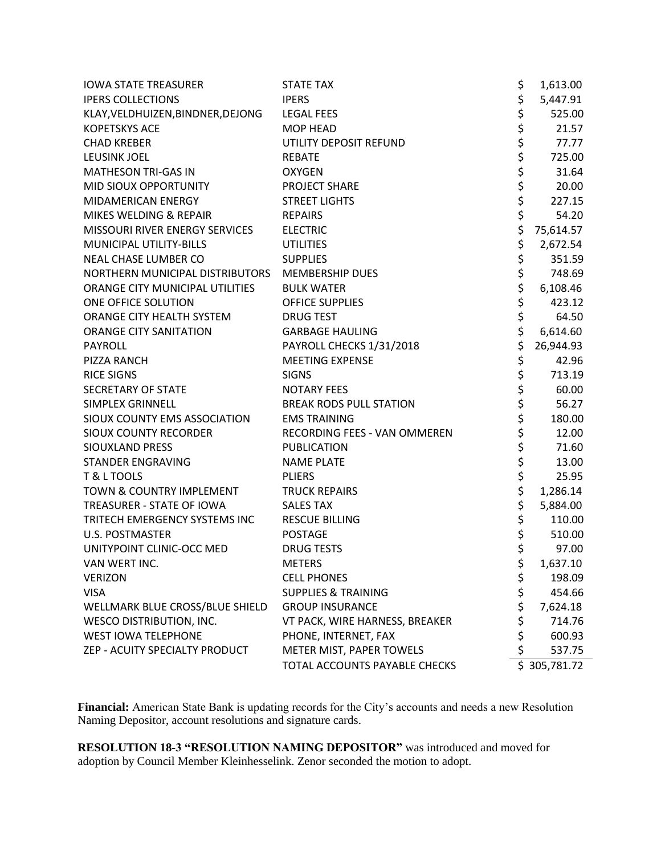| <b>IOWA STATE TREASURER</b>       | <b>STATE TAX</b>               | \$             | 1,613.00     |
|-----------------------------------|--------------------------------|----------------|--------------|
| <b>IPERS COLLECTIONS</b>          | <b>IPERS</b>                   | \$             | 5,447.91     |
| KLAY, VELDHUIZEN, BINDNER, DEJONG | <b>LEGAL FEES</b>              |                | 525.00       |
| <b>KOPETSKYS ACE</b>              | <b>MOP HEAD</b>                | \$<br>\$<br>\$ | 21.57        |
| <b>CHAD KREBER</b>                | UTILITY DEPOSIT REFUND         |                | 77.77        |
| <b>LEUSINK JOEL</b>               | <b>REBATE</b>                  | \$             | 725.00       |
| MATHESON TRI-GAS IN               | <b>OXYGEN</b>                  | \$<br>\$<br>\$ | 31.64        |
| MID SIOUX OPPORTUNITY             | PROJECT SHARE                  |                | 20.00        |
| MIDAMERICAN ENERGY                | <b>STREET LIGHTS</b>           |                | 227.15       |
| MIKES WELDING & REPAIR            | <b>REPAIRS</b>                 | \$             | 54.20        |
| MISSOURI RIVER ENERGY SERVICES    | <b>ELECTRIC</b>                | \$             | 75,614.57    |
| MUNICIPAL UTILITY-BILLS           | <b>UTILITIES</b>               | \$             | 2,672.54     |
| NEAL CHASE LUMBER CO              | <b>SUPPLIES</b>                | \$             | 351.59       |
| NORTHERN MUNICIPAL DISTRIBUTORS   | <b>MEMBERSHIP DUES</b>         | \$             | 748.69       |
| ORANGE CITY MUNICIPAL UTILITIES   | <b>BULK WATER</b>              | \$             | 6,108.46     |
| ONE OFFICE SOLUTION               | OFFICE SUPPLIES                | \$<br>\$       | 423.12       |
| ORANGE CITY HEALTH SYSTEM         | <b>DRUG TEST</b>               |                | 64.50        |
| <b>ORANGE CITY SANITATION</b>     | <b>GARBAGE HAULING</b>         | \$             | 6,614.60     |
| <b>PAYROLL</b>                    | PAYROLL CHECKS 1/31/2018       | \$             | 26,944.93    |
| PIZZA RANCH                       | <b>MEETING EXPENSE</b>         | \$<br>\$       | 42.96        |
| <b>RICE SIGNS</b>                 | <b>SIGNS</b>                   |                | 713.19       |
| <b>SECRETARY OF STATE</b>         | <b>NOTARY FEES</b>             | \$             | 60.00        |
| <b>SIMPLEX GRINNELL</b>           | <b>BREAK RODS PULL STATION</b> | \$             | 56.27        |
| SIOUX COUNTY EMS ASSOCIATION      | <b>EMS TRAINING</b>            | \$<br>\$       | 180.00       |
| <b>SIOUX COUNTY RECORDER</b>      | RECORDING FEES - VAN OMMEREN   |                | 12.00        |
| SIOUXLAND PRESS                   | <b>PUBLICATION</b>             | \$             | 71.60        |
| <b>STANDER ENGRAVING</b>          | <b>NAME PLATE</b>              | \$             | 13.00        |
| T & L TOOLS                       | <b>PLIERS</b>                  | \$<br>\$       | 25.95        |
| TOWN & COUNTRY IMPLEMENT          | <b>TRUCK REPAIRS</b>           |                | 1,286.14     |
| TREASURER - STATE OF IOWA         | <b>SALES TAX</b>               | \$             | 5,884.00     |
| TRITECH EMERGENCY SYSTEMS INC     | <b>RESCUE BILLING</b>          | \$             | 110.00       |
| <b>U.S. POSTMASTER</b>            | <b>POSTAGE</b>                 | \$<br>\$       | 510.00       |
| UNITYPOINT CLINIC-OCC MED         | <b>DRUG TESTS</b>              |                | 97.00        |
| VAN WERT INC.                     | <b>METERS</b>                  | \$             | 1,637.10     |
| <b>VERIZON</b>                    | <b>CELL PHONES</b>             | \$             | 198.09       |
| <b>VISA</b>                       | <b>SUPPLIES &amp; TRAINING</b> | \$             | 454.66       |
| WELLMARK BLUE CROSS/BLUE SHIELD   | <b>GROUP INSURANCE</b>         | \$             | 7,624.18     |
| <b>WESCO DISTRIBUTION, INC.</b>   | VT PACK, WIRE HARNESS, BREAKER | \$             | 714.76       |
| <b>WEST IOWA TELEPHONE</b>        | PHONE, INTERNET, FAX           | \$             | 600.93       |
| ZEP - ACUITY SPECIALTY PRODUCT    | METER MIST, PAPER TOWELS       | \$             | 537.75       |
|                                   | TOTAL ACCOUNTS PAYABLE CHECKS  |                | \$305,781.72 |

**Financial:** American State Bank is updating records for the City's accounts and needs a new Resolution Naming Depositor, account resolutions and signature cards.

**RESOLUTION 18-3 "RESOLUTION NAMING DEPOSITOR"** was introduced and moved for adoption by Council Member Kleinhesselink. Zenor seconded the motion to adopt.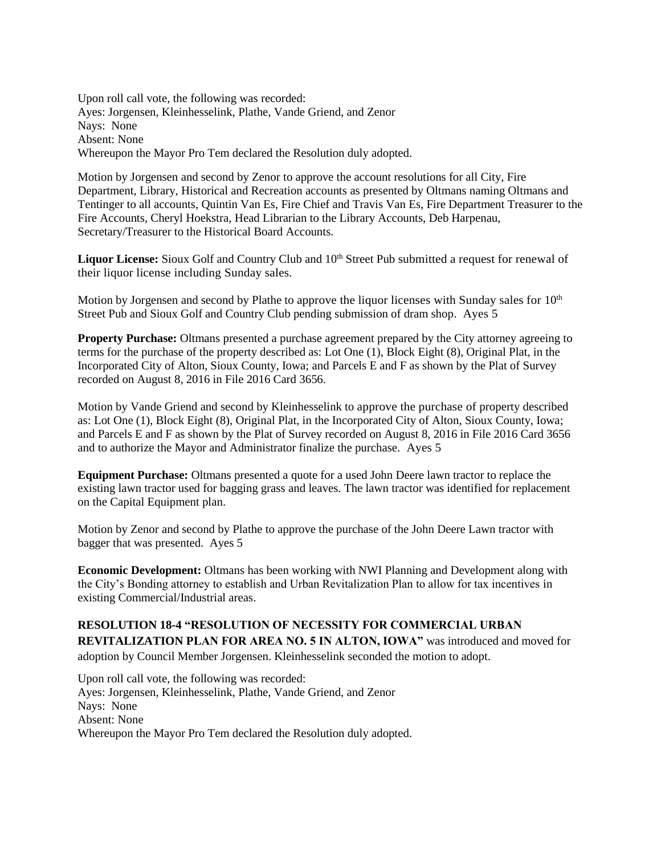Upon roll call vote, the following was recorded: Ayes: Jorgensen, Kleinhesselink, Plathe, Vande Griend, and Zenor Nays: None Absent: None Whereupon the Mayor Pro Tem declared the Resolution duly adopted.

Motion by Jorgensen and second by Zenor to approve the account resolutions for all City, Fire Department, Library, Historical and Recreation accounts as presented by Oltmans naming Oltmans and Tentinger to all accounts, Quintin Van Es, Fire Chief and Travis Van Es, Fire Department Treasurer to the Fire Accounts, Cheryl Hoekstra, Head Librarian to the Library Accounts, Deb Harpenau, Secretary/Treasurer to the Historical Board Accounts.

**Liquor License:** Sioux Golf and Country Club and 10<sup>th</sup> Street Pub submitted a request for renewal of their liquor license including Sunday sales.

Motion by Jorgensen and second by Plathe to approve the liquor licenses with Sunday sales for 10<sup>th</sup> Street Pub and Sioux Golf and Country Club pending submission of dram shop. Ayes 5

**Property Purchase:** Oltmans presented a purchase agreement prepared by the City attorney agreeing to terms for the purchase of the property described as: Lot One (1), Block Eight (8), Original Plat, in the Incorporated City of Alton, Sioux County, Iowa; and Parcels E and F as shown by the Plat of Survey recorded on August 8, 2016 in File 2016 Card 3656.

Motion by Vande Griend and second by Kleinhesselink to approve the purchase of property described as: Lot One (1), Block Eight (8), Original Plat, in the Incorporated City of Alton, Sioux County, Iowa; and Parcels E and F as shown by the Plat of Survey recorded on August 8, 2016 in File 2016 Card 3656 and to authorize the Mayor and Administrator finalize the purchase. Ayes 5

**Equipment Purchase:** Oltmans presented a quote for a used John Deere lawn tractor to replace the existing lawn tractor used for bagging grass and leaves. The lawn tractor was identified for replacement on the Capital Equipment plan.

Motion by Zenor and second by Plathe to approve the purchase of the John Deere Lawn tractor with bagger that was presented. Ayes 5

**Economic Development:** Oltmans has been working with NWI Planning and Development along with the City's Bonding attorney to establish and Urban Revitalization Plan to allow for tax incentives in existing Commercial/Industrial areas.

## **RESOLUTION 18-4 "RESOLUTION OF NECESSITY FOR COMMERCIAL URBAN REVITALIZATION PLAN FOR AREA NO. 5 IN ALTON, IOWA"** was introduced and moved for adoption by Council Member Jorgensen. Kleinhesselink seconded the motion to adopt.

Upon roll call vote, the following was recorded: Ayes: Jorgensen, Kleinhesselink, Plathe, Vande Griend, and Zenor Nays: None Absent: None Whereupon the Mayor Pro Tem declared the Resolution duly adopted.